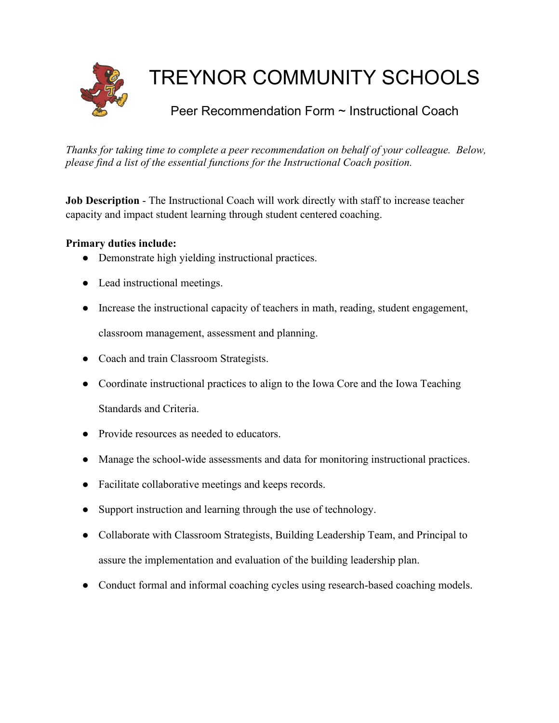

# TREYNOR COMMUNITY SCHOOLS

## Peer Recommendation Form ~ Instructional Coach

*Thanks for taking time to complete a peer recommendation on behalf of your colleague. Below, please find a list of the essential functions for the Instructional Coach position.*

**Job Description** - The Instructional Coach will work directly with staff to increase teacher capacity and impact student learning through student centered coaching.

### **Primary duties include:**

- Demonstrate high yielding instructional practices.
- Lead instructional meetings.
- Increase the instructional capacity of teachers in math, reading, student engagement, classroom management, assessment and planning.
- Coach and train Classroom Strategists.
- Coordinate instructional practices to align to the Iowa Core and the Iowa Teaching Standards and Criteria.
- Provide resources as needed to educators.
- Manage the school-wide assessments and data for monitoring instructional practices.
- Facilitate collaborative meetings and keeps records.
- Support instruction and learning through the use of technology.
- Collaborate with Classroom Strategists, Building Leadership Team, and Principal to assure the implementation and evaluation of the building leadership plan.
- Conduct formal and informal coaching cycles using research-based coaching models.